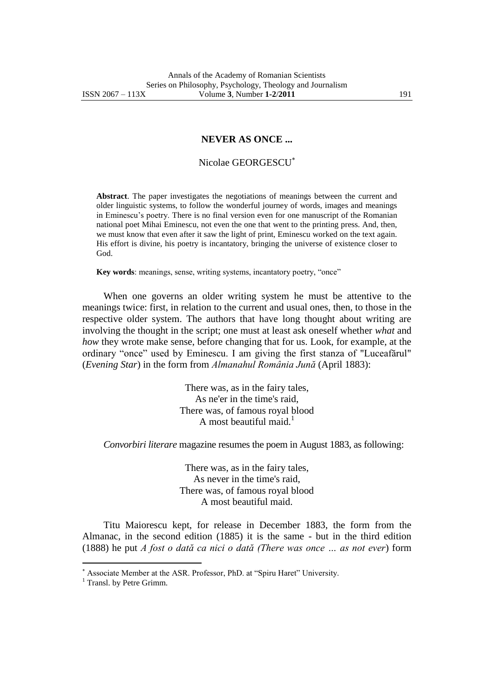**NEVER AS ONCE ...**

## Nicolae GEORGESCU

**Abstract**. The paper investigates the negotiations of meanings between the current and older linguistic systems, to follow the wonderful journey of words, images and meanings in Eminescu"s poetry. There is no final version even for one manuscript of the Romanian national poet Mihai Eminescu, not even the one that went to the printing press. And, then, we must know that even after it saw the light of print, Eminescu worked on the text again. His effort is divine, his poetry is incantatory, bringing the universe of existence closer to God.

**Key words**: meanings, sense, writing systems, incantatory poetry, "once"

When one governs an older writing system he must be attentive to the meanings twice: first, in relation to the current and usual ones, then, to those in the respective older system. The authors that have long thought about writing are involving the thought in the script; one must at least ask oneself whether *what* and *how* they wrote make sense, before changing that for us. Look, for example, at the ordinary "once" used by Eminescu. I am giving the first stanza of "Luceafărul" (*Evening Star*) in the form from *Almanahul România Jună* (April 1883):

> There was, as in the fairy tales, As ne'er in the time's raid, There was, of famous royal blood A most beautiful maid.<sup>1</sup>

*Convorbiri literare* magazine resumes the poem in August 1883, as following:

There was, as in the fairy tales, As never in the time's raid, There was, of famous royal blood A most beautiful maid.

Titu Maiorescu kept, for release in December 1883, the form from the Almanac, in the second edition (1885) it is the same - but in the third edition (1888) he put *A fost o dată ca nici o dată (There was once … as not ever*) form

 $\overline{a}$ 

Associate Member at the ASR. Professor, PhD. at "Spiru Haret" University.

<sup>&</sup>lt;sup>1</sup> Transl. by Petre Grimm.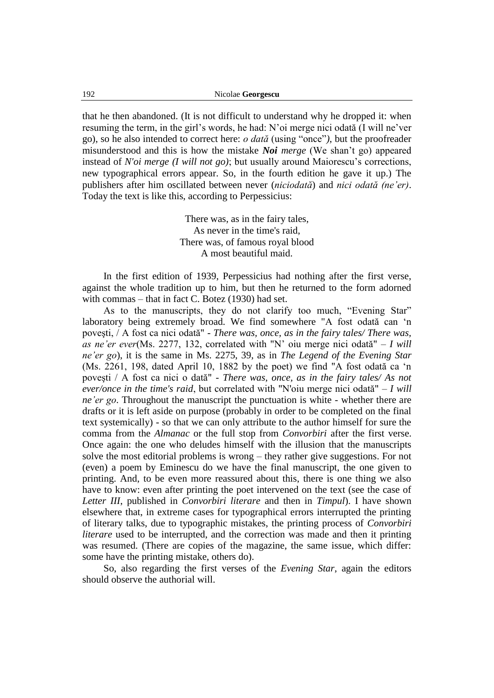that he then abandoned. (It is not difficult to understand why he dropped it: when resuming the term, in the girl"s words, he had: N"oi merge nici odată (I will ne"ver go), so he also intended to correct here: *o dată* (using "once"*)*, but the proofreader misunderstood and this is how the mistake *Noi merge* (We shan"t go) appeared instead of *N'oi merge (I will not go)*; but usually around Maiorescu's corrections, new typographical errors appear. So, in the fourth edition he gave it up.) The publishers after him oscillated between never (*niciodată*) and *nici odată (ne'er)*. Today the text is like this, according to Perpessicius:

> There was, as in the fairy tales, As never in the time's raid, There was, of famous royal blood A most beautiful maid.

In the first edition of 1939, Perpessicius had nothing after the first verse, against the whole tradition up to him, but then he returned to the form adorned with commas – that in fact C. Botez (1930) had set.

As to the manuscripts, they do not clarify too much, "Evening Star" laboratory being extremely broad. We find somewhere "A fost odată can "n poveşti, / A fost ca nici odată" - *There was, once, as in the fairy tales/ There was, as ne'er ever*(Ms. 2277, 132, correlated with "N" oiu merge nici odată" – *I will ne'er go*), it is the same in Ms. 2275, 39, as in *The Legend of the Evening Star*  (Ms. 2261, 198, dated April 10, 1882 by the poet) we find "A fost odată ca "n poveşti / A fost ca nici o dată" - *There was, once, as in the fairy tales/ As not ever/once in the time's raid*, but correlated with "N'oiu merge nici odată" – *I will ne'er go*. Throughout the manuscript the punctuation is white - whether there are drafts or it is left aside on purpose (probably in order to be completed on the final text systemically) - so that we can only attribute to the author himself for sure the comma from the *Almanac* or the full stop from *Convorbiri* after the first verse. Once again: the one who deludes himself with the illusion that the manuscripts solve the most editorial problems is wrong – they rather give suggestions. For not (even) a poem by Eminescu do we have the final manuscript, the one given to printing. And, to be even more reassured about this, there is one thing we also have to know: even after printing the poet intervened on the text (see the case of *Letter III*, published in *Convorbiri literare* and then in *Timpul*). I have shown elsewhere that, in extreme cases for typographical errors interrupted the printing of literary talks, due to typographic mistakes, the printing process of *Convorbiri literare* used to be interrupted, and the correction was made and then it printing was resumed. (There are copies of the magazine, the same issue, which differ: some have the printing mistake, others do).

So, also regarding the first verses of the *Evening Star*, again the editors should observe the authorial will.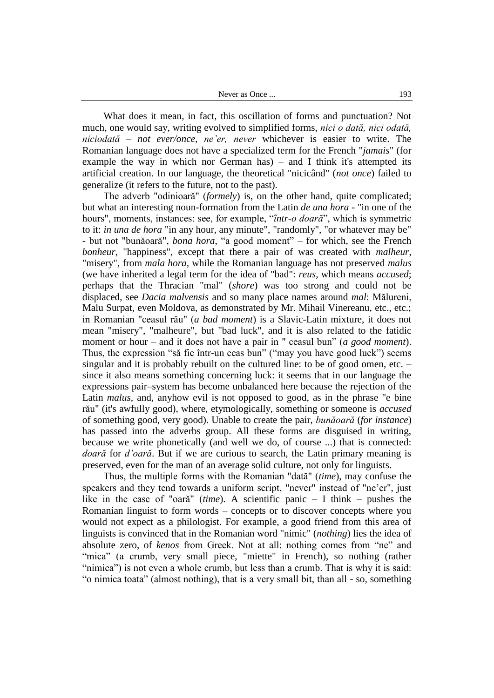What does it mean, in fact, this oscillation of forms and punctuation? Not much, one would say, writing evolved to simplified forms, *nici o dată, nici odată, niciodată* – *not ever/once, ne'er, never* whichever is easier to write. The Romanian language does not have a specialized term for the French "*jamais*" (for example the way in which nor German has) – and I think it's attempted its artificial creation. In our language, the theoretical "nicicând" (*not once*) failed to generalize (it refers to the future, not to the past).

The adverb "odinioară" (*formely*) is, on the other hand, quite complicated; but what an interesting noun-formation from the Latin *de una hora* - "in one of the hours", moments, instances: see, for example, "*într-o doară*", which is symmetric to it: *in una de hora* "in any hour, any minute", "randomly", "or whatever may be" - but not "bunăoară", *bona hora*, "a good moment" – for which, see the French *bonheur*, "happiness", except that there a pair of was created with *malheur*, "misery", from *mala hora,* while the Romanian language has not preserved *malus* (we have inherited a legal term for the idea of "bad": *reus,* which means *accused*; perhaps that the Thracian "mal" (*shore*) was too strong and could not be displaced, see *Dacia malvensis* and so many place names around *mal*: Mălureni, Malu Surpat, even Moldova, as demonstrated by Mr. Mihail Vinereanu, etc., etc.; in Romanian "ceasul rău" (*a bad moment*) is a Slavic-Latin mixture, it does not mean "misery", "malheure", but "bad luck", and it is also related to the fatidic moment or hour – and it does not have a pair in " ceasul bun" (*a good moment*). Thus, the expression "să fie într-un ceas bun" ("may you have good luck") seems singular and it is probably rebuilt on the cultured line: to be of good omen, etc. – since it also means something concerning luck: it seems that in our language the expressions pair–system has become unbalanced here because the rejection of the Latin *malus*, and, anyhow evil is not opposed to good, as in the phrase "e bine rău" (it's awfully good), where, etymologically, something or someone is *accused* of something good, very good). Unable to create the pair, *bunăoară* (*for instance*) has passed into the adverbs group. All these forms are disguised in writing, because we write phonetically (and well we do, of course ...) that is connected: *doară* for *d'oară*. But if we are curious to search, the Latin primary meaning is preserved, even for the man of an average solid culture, not only for linguists.

Thus, the multiple forms with the Romanian "dată" (*time*), may confuse the speakers and they tend towards a uniform script, "never" instead of "ne'er", just like in the case of "oară" (*time*). A scientific panic – I think – pushes the Romanian linguist to form words – concepts or to discover concepts where you would not expect as a philologist. For example, a good friend from this area of linguists is convinced that in the Romanian word "nimic" (*nothing*) lies the idea of absolute zero, of *kenos* from Greek. Not at all: nothing comes from "ne" and "mica" (a crumb, very small piece, "miette" in French), so nothing (rather "nimica") is not even a whole crumb, but less than a crumb. That is why it is said: "o nimica toata" (almost nothing), that is a very small bit, than all - so, something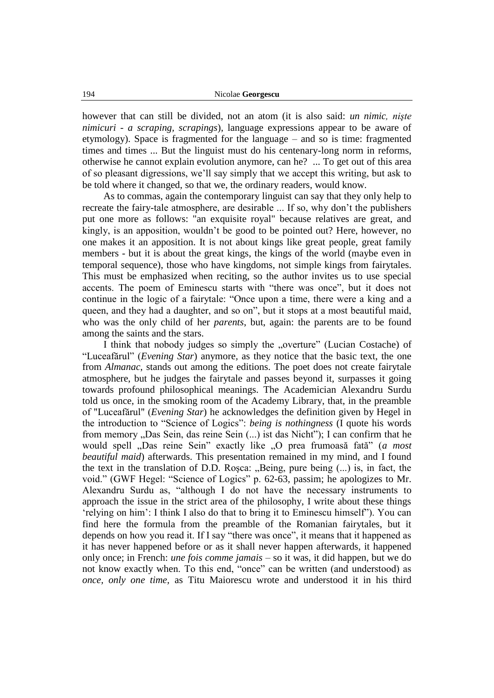however that can still be divided, not an atom (it is also said: *un nimic, nişte nimicuri - a scraping, scrapings*), language expressions appear to be aware of etymology). Space is fragmented for the language – and so is time: fragmented times and times ... But the linguist must do his centenary-long norm in reforms, otherwise he cannot explain evolution anymore, can he? ... To get out of this area of so pleasant digressions, we"ll say simply that we accept this writing, but ask to be told where it changed, so that we, the ordinary readers, would know.

As to commas, again the contemporary linguist can say that they only help to recreate the fairy-tale atmosphere, are desirable ... If so, why don"t the publishers put one more as follows: "an exquisite royal" because relatives are great, and kingly, is an apposition, wouldn"t be good to be pointed out? Here, however, no one makes it an apposition. It is not about kings like great people, great family members - but it is about the great kings, the kings of the world (maybe even in temporal sequence), those who have kingdoms, not simple kings from fairytales. This must be emphasized when reciting, so the author invites us to use special accents. The poem of Eminescu starts with "there was once", but it does not continue in the logic of a fairytale: "Once upon a time, there were a king and a queen, and they had a daughter, and so on", but it stops at a most beautiful maid, who was the only child of her *parents*, but, again: the parents are to be found among the saints and the stars.

I think that nobody judges so simply the "overture" (Lucian Costache) of "Luceafărul" (*Evening Star*) anymore*,* as they notice that the basic text, the one from *Almanac*, stands out among the editions. The poet does not create fairytale atmosphere, but he judges the fairytale and passes beyond it, surpasses it going towards profound philosophical meanings. The Academician Alexandru Surdu told us once, in the smoking room of the Academy Library, that, in the preamble of "Luceafărul" (*Evening Star*) he acknowledges the definition given by Hegel in the introduction to "Science of Logics": *being is nothingness* (I quote his words from memory "Das Sein, das reine Sein (...) ist das Nicht"); I can confirm that he would spell "Das reine Sein" exactly like "O prea frumoasă fată" (a most *beautiful maid*) afterwards. This presentation remained in my mind, and I found the text in the translation of D.D. Rosca:  $n$ , Being, pure being  $(\ldots)$  is, in fact, the void." (GWF Hegel: "Science of Logics" p. 62-63, passim; he apologizes to Mr. Alexandru Surdu as, "although I do not have the necessary instruments to approach the issue in the strict area of the philosophy, I write about these things "relying on him": I think I also do that to bring it to Eminescu himself"). You can find here the formula from the preamble of the Romanian fairytales, but it depends on how you read it. If I say "there was once", it means that it happened as it has never happened before or as it shall never happen afterwards, it happened only once; in French: *une fois comme jamais* – so it was, it did happen, but we do not know exactly when. To this end, "once" can be written (and understood) as *once, only one time,* as Titu Maiorescu wrote and understood it in his third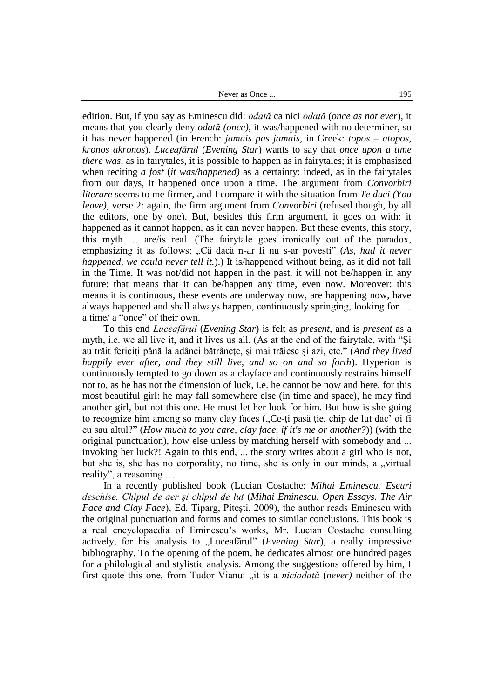Never as Once ... 195

edition. But, if you say as Eminescu did: *odată* ca nici *odată* (*once as not ever*), it means that you clearly deny *odată (once)*, it was/happened with no determiner, so it has never happened (in French: *jamais pas jamais*, in Greek: *topos – atopos, kronos akronos*). *Luceafărul* (*Evening Star*) wants to say that *once upon a time there was,* as in fairytales, it is possible to happen as in fairytales; it is emphasized when reciting *a fost* (*it was/happened)* as a certainty: indeed, as in the fairytales from our days, it happened once upon a time. The argument from *Convorbiri literare* seems to me firmer, and I compare it with the situation from *Te duci (You leave)*, verse 2: again, the firm argument from *Convorbiri* (refused though, by all the editors, one by one). But, besides this firm argument, it goes on with: it happened as it cannot happen, as it can never happen. But these events, this story, this myth … are/is real. (The fairytale goes ironically out of the paradox, emphasizing it as follows: "Că dacă n-ar fi nu s-ar povesti" (*As, had it never happened, we could never tell it.*).) It is/happened without being, as it did not fall in the Time. It was not/did not happen in the past, it will not be/happen in any future: that means that it can be/happen any time, even now. Moreover: this means it is continuous, these events are underway now, are happening now, have always happened and shall always happen, continuously springing, looking for … a time/ a "once" of their own.

To this end *Luceafărul* (*Evening Star*) is felt as *present*, and is *present* as a myth, i.e. we all live it, and it lives us all. (As at the end of the fairytale, with "Şi au trăit fericiţi până la adânci bătrâneţe, şi mai trăiesc şi azi, etc." (*And they lived happily ever after, and they still live, and so on and so forth*). Hyperion is continuously tempted to go down as a clayface and continuously restrains himself not to, as he has not the dimension of luck, i.e. he cannot be now and here, for this most beautiful girl: he may fall somewhere else (in time and space), he may find another girl, but not this one. He must let her look for him. But how is she going to recognize him among so many clay faces ("Ce-ti pasă ție, chip de lut dac' oi fi eu sau altul?" (*How much to you care, clay face, if it's me or another?*)) (with the original punctuation), how else unless by matching herself with somebody and ... invoking her luck?! Again to this end, ... the story writes about a girl who is not, but she is, she has no corporality, no time, she is only in our minds, a "virtual reality", a reasoning …

In a recently published book (Lucian Costache: *Mihai Eminescu. Eseuri deschise. Chipul de aer şi chipul de lut* (*Mihai Eminescu. Open Essays. The Air Face and Clay Face*), Ed. Tiparg, Piteşti, 2009), the author reads Eminescu with the original punctuation and forms and comes to similar conclusions. This book is a real encyclopaedia of Eminescu"s works, Mr. Lucian Costache consulting actively, for his analysis to "Luceafărul" (*Evening Star*), a really impressive bibliography. To the opening of the poem, he dedicates almost one hundred pages for a philological and stylistic analysis. Among the suggestions offered by him, I first quote this one, from Tudor Vianu: "it is a *niciodată* (*never*) neither of the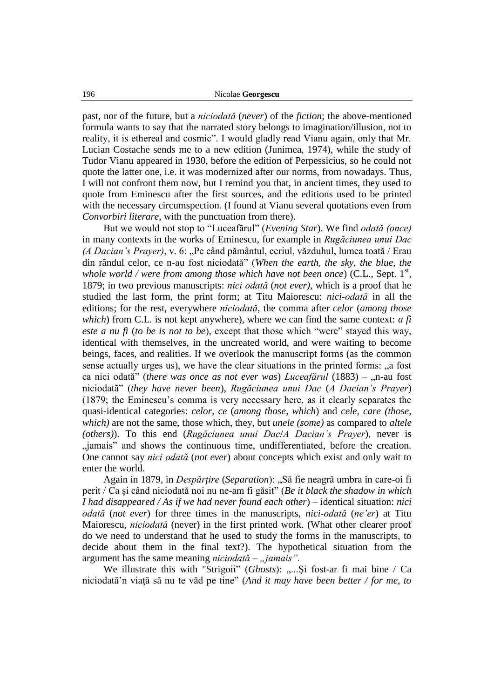past, nor of the future, but a *niciodată* (*never*) of the *fiction*; the above-mentioned formula wants to say that the narrated story belongs to imagination/illusion, not to reality, it is ethereal and cosmic". I would gladly read Vianu again, only that Mr. Lucian Costache sends me to a new edition (Junimea, 1974), while the study of Tudor Vianu appeared in 1930, before the edition of Perpessicius, so he could not quote the latter one, i.e. it was modernized after our norms, from nowadays. Thus, I will not confront them now, but I remind you that, in ancient times, they used to quote from Eminescu after the first sources, and the editions used to be printed with the necessary circumspection. (I found at Vianu several quotations even from *Convorbiri literare*, with the punctuation from there).

But we would not stop to "Luceafărul" (*Evening Star*). We find *odată (once)*  in many contexts in the works of Eminescu, for example in *Rugăciunea unui Dac (A Dacian's Prayer)*, v. 6: "Pe când pământul, ceriul, văzduhul, lumea toată / Erau din rândul celor, ce n-au fost niciodată" (*When the earth, the sky, the blue, the*  whole world / were from among those which have not been once)  $(C.L.,$  Sept.  $1<sup>st</sup>,$ 1879; in two previous manuscripts: *nici odată* (*not ever),* which is a proof that he studied the last form, the print form; at Titu Maiorescu: *nici-odată* in all the editions; for the rest, everywhere *niciodată*, the comma after *celor* (*among those which*) from C.L. is not kept anywhere), where we can find the same context: *a fi este a nu fi* (*to be is not to be*), except that those which "were" stayed this way, identical with themselves, in the uncreated world, and were waiting to become beings, faces, and realities. If we overlook the manuscript forms (as the common sense actually urges us), we have the clear situations in the printed forms: "a fost ca nici odată" (*there was once as not ever was*) *Luceafărul* (1883) – "n-au fost niciodată" (*they have never been*), *Rugăciunea unui Dac* (*A Dacian's Prayer*) (1879; the Eminescu"s comma is very necessary here, as it clearly separates the quasi-identical categories: *celor, ce* (*among those, which*) and *cele, care (those, which)* are not the same, those which, they, but *unele (some)* as compared to *altele (others)*). To this end (*Rugăciunea unui Dac*/*A Dacian's Prayer*), never is "jamais" and shows the continuous time, undifferentiated, before the creation. One cannot say *nici odată* (*not ever*) about concepts which exist and only wait to enter the world.

Again in 1879, in *Despărţire* (*Separation*): "Să fie neagră umbra în care-oi fi perit / Ca şi când niciodată noi nu ne-am fi găsit" (*Be it black the shadow in which I had disappeared / As if we had never found each other*) – identical situation: *nici odată* (*not ever*) for three times in the manuscripts, *nici-odată* (*ne'er*) at Titu Maiorescu, *niciodată* (never) in the first printed work. (What other clearer proof do we need to understand that he used to study the forms in the manuscripts, to decide about them in the final text?). The hypothetical situation from the argument has the same meaning *niciodată* – "*jamais*".

We illustrate this with "Strigoii" (*Ghosts*): ..... Si fost-ar fi mai bine / Ca niciodată"n viaţă să nu te văd pe tine" (*And it may have been better / for me, to*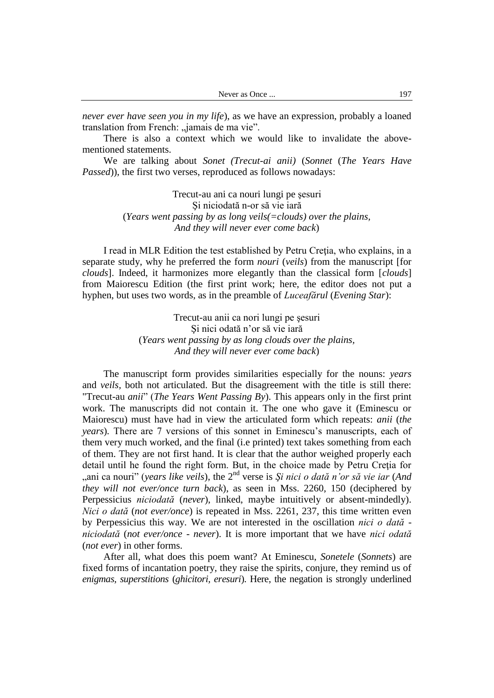| Never as Once | 197 |
|---------------|-----|
|---------------|-----|

*never ever have seen you in my life*), as we have an expression, probably a loaned translation from French: "jamais de ma vie".

There is also a context which we would like to invalidate the abovementioned statements.

We are talking about *Sonet (Trecut-ai anii)* (*Sonnet* (*The Years Have Passed*)), the first two verses, reproduced as follows nowadays:

> Trecut-au ani ca nouri lungi pe şesuri Şi niciodată n-or să vie iară (*Years went passing by as long veils(=clouds) over the plains, And they will never ever come back*)

I read in MLR Edition the test established by Petru Cretia, who explains, in a separate study, why he preferred the form *nouri* (*veils*) from the manuscript [for *clouds*]. Indeed, it harmonizes more elegantly than the classical form [*clouds*] from Maiorescu Edition (the first print work; here, the editor does not put a hyphen, but uses two words, as in the preamble of *Luceafărul* (*Evening Star*):

> Trecut-au anii ca nori lungi pe şesuri Şi nici odată n"or să vie iară (*Years went passing by as long clouds over the plains, And they will never ever come back*)

The manuscript form provides similarities especially for the nouns: *years* and *veils,* both not articulated. But the disagreement with the title is still there: "Trecut-au *anii*" (*The Years Went Passing By*). This appears only in the first print work. The manuscripts did not contain it. The one who gave it (Eminescu or Maiorescu) must have had in view the articulated form which repeats: *anii* (*the years*). There are 7 versions of this sonnet in Eminescu's manuscripts, each of them very much worked, and the final (i.e printed) text takes something from each of them. They are not first hand. It is clear that the author weighed properly each detail until he found the right form. But, in the choice made by Petru Creţia for "ani ca nouri" (*years like veils*), the 2nd verse is *Şi nici o dată n'or să vie iar* (*And they will not ever/once turn back*), as seen in Mss. 2260, 150 (deciphered by Perpessicius *niciodată* (*never*), linked, maybe intuitively or absent-mindedly). *Nici o dată* (*not ever/once*) is repeated in Mss. 2261, 237, this time written even by Perpessicius this way. We are not interested in the oscillation *nici o dată niciodată* (*not ever/once - never*). It is more important that we have *nici odată*  (*not ever*) in other forms.

After all, what does this poem want? At Eminescu, *Sonetele* (*Sonnets*) are fixed forms of incantation poetry, they raise the spirits, conjure, they remind us of *enigmas, superstitions* (*ghicitori, eresuri*). Here, the negation is strongly underlined